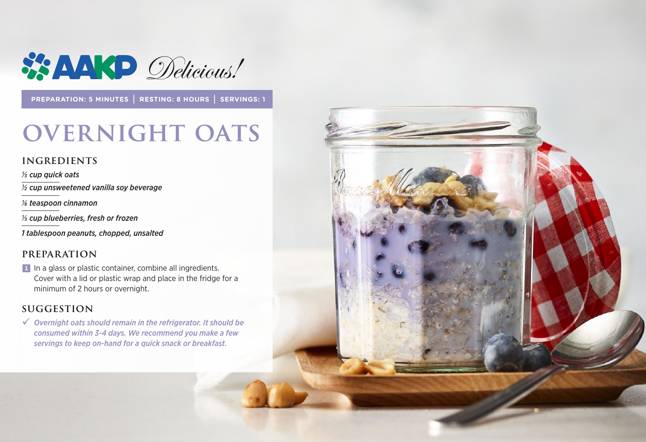

**PREPARATION: 5 MINUTES | RESTING: 8 HOURS | SERVINGS: 1**

## **OVERNIGHT OATS**

#### **INGREDIENTS**

*1/3 cup quick oats ½ cup unsweetened vanilla soy beverage*

*1/8 teaspoon cinnamon*

*1/3 cup blueberries, fresh or frozen*

*1 tablespoon peanuts, chopped, unsalted*

#### **PREPARATION**

1 In a glass or plastic container, combine all ingredients. Cover with a lid or plastic wrap and place in the fridge for a minimum of 2 hours or overnight.

#### **suggestion**

9 *Overnight oats should remain in the refrigerator. It should be consumed within 3-4 days. We recommend you make a few servings to keep on-hand for a quick snack or breakfast.*